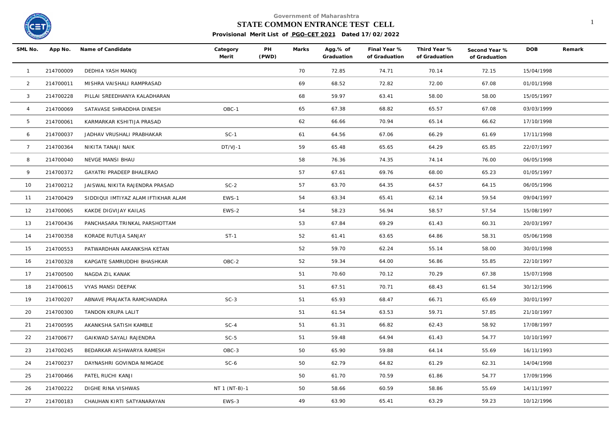

**Government of Maharashtra**

## **STATE COMMON ENTRANCE TEST CELL** 1

**Provisional Merit List of PGO-CET 2021 Dated 17/02/2022**

| SML No.         |           | App No. Name of Candidate           | Category<br>Merit | PH<br>(PWD) | Marks | Agg.% of<br>Graduation | Final Year %<br>of Graduation | Third Year %<br>of Graduation | Second Year %<br>of Graduation | <b>DOB</b> | Remark |
|-----------------|-----------|-------------------------------------|-------------------|-------------|-------|------------------------|-------------------------------|-------------------------------|--------------------------------|------------|--------|
| $\overline{1}$  | 214700009 | DEDHIA YASH MANOJ                   |                   |             | 70    | 72.85                  | 74.71                         | 70.14                         | 72.15                          | 15/04/1998 |        |
| $\overline{2}$  | 214700011 | MISHRA VAISHALI RAMPRASAD           |                   |             | 69    | 68.52                  | 72.82                         | 72.00                         | 67.08                          | 01/01/1998 |        |
| $\mathbf{3}$    | 214700228 | PILLAI SREEDHANYA KALADHARAN        |                   |             | 68    | 59.97                  | 63.41                         | 58.00                         | 58.00                          | 15/05/1997 |        |
| $\overline{4}$  | 214700069 | SATAVASE SHRADDHA DINESH            | OBC-1             |             | 65    | 67.38                  | 68.82                         | 65.57                         | 67.08                          | 03/03/1999 |        |
| 5               | 214700061 | KARMARKAR KSHITIJA PRASAD           |                   |             | 62    | 66.66                  | 70.94                         | 65.14                         | 66.62                          | 17/10/1998 |        |
| 6               | 214700037 | JADHAV VRUSHALI PRABHAKAR           | $SC-1$            |             | 61    | 64.56                  | 67.06                         | 66.29                         | 61.69                          | 17/11/1998 |        |
| $7\overline{ }$ | 214700364 | NIKITA TANAJI NAIK                  | $DT/VJ-1$         |             | 59    | 65.48                  | 65.65                         | 64.29                         | 65.85                          | 22/07/1997 |        |
| 8               | 214700040 | NEVGE MANSI BHAU                    |                   |             | 58    | 76.36                  | 74.35                         | 74.14                         | 76.00                          | 06/05/1998 |        |
| 9               | 214700372 | GAYATRI PRADEEP BHALERAO            |                   |             | 57    | 67.61                  | 69.76                         | 68.00                         | 65.23                          | 01/05/1997 |        |
| 10              | 214700212 | JAISWAL NIKITA RAJENDRA PRASAD      | $SC-2$            |             | 57    | 63.70                  | 64.35                         | 64.57                         | 64.15                          | 06/05/1996 |        |
| 11              | 214700429 | SIDDIQUI IMTIYAZ ALAM IFTIKHAR ALAM | EWS-1             |             | 54    | 63.34                  | 65.41                         | 62.14                         | 59.54                          | 09/04/1997 |        |
| 12              | 214700065 | KAKDE DIGVIJAY KAILAS               | EWS-2             |             | 54    | 58.23                  | 56.94                         | 58.57                         | 57.54                          | 15/08/1997 |        |
| 13              | 214700436 | PANCHASARA TRINKAL PARSHOTTAM       |                   |             | 53    | 67.84                  | 69.29                         | 61.43                         | 60.31                          | 20/03/1997 |        |
| 14              | 214700358 | KORADE RUTUJA SANJAY                | $ST-1$            |             | 52    | 61.41                  | 63.65                         | 64.86                         | 58.31                          | 05/06/1998 |        |
| 15              | 214700553 | PATWARDHAN AAKANKSHA KETAN          |                   |             | 52    | 59.70                  | 62.24                         | 55.14                         | 58.00                          | 30/01/1998 |        |
| 16              | 214700328 | KAPGATE SAMRUDDHI BHASHKAR          | OBC-2             |             | 52    | 59.34                  | 64.00                         | 56.86                         | 55.85                          | 22/10/1997 |        |
| 17              | 214700500 | NAGDA ZIL KANAK                     |                   |             | 51    | 70.60                  | 70.12                         | 70.29                         | 67.38                          | 15/07/1998 |        |
| 18              | 214700615 | VYAS MANSI DEEPAK                   |                   |             | 51    | 67.51                  | 70.71                         | 68.43                         | 61.54                          | 30/12/1996 |        |
| 19              | 214700207 | ABNAVE PRAJAKTA RAMCHANDRA          | $SC-3$            |             | 51    | 65.93                  | 68.47                         | 66.71                         | 65.69                          | 30/01/1997 |        |
| 20              | 214700300 | TANDON KRUPA LALIT                  |                   |             | 51    | 61.54                  | 63.53                         | 59.71                         | 57.85                          | 21/10/1997 |        |
| 21              | 214700595 | AKANKSHA SATISH KAMBLE              | $SC-4$            |             | 51    | 61.31                  | 66.82                         | 62.43                         | 58.92                          | 17/08/1997 |        |
| 22              | 214700677 | GAIKWAD SAYALI RAJENDRA             | $SC-5$            |             | 51    | 59.48                  | 64.94                         | 61.43                         | 54.77                          | 10/10/1997 |        |
| 23              | 214700245 | BEDARKAR AISHWARYA RAMESH           | OBC-3             |             | 50    | 65.90                  | 59.88                         | 64.14                         | 55.69                          | 16/11/1993 |        |
| 24              | 214700237 | DAYNASHRI GOVINDA NIMGADE           | $SC-6$            |             | 50    | 62.79                  | 64.82                         | 61.29                         | 62.31                          | 14/04/1998 |        |
| 25              | 214700466 | PATEL RUCHI KANJI                   |                   |             | 50    | 61.70                  | 70.59                         | 61.86                         | 54.77                          | 17/09/1996 |        |
| 26              | 214700222 | DIGHE RINA VISHWAS                  | NT 1 (NT-B)-1     |             | 50    | 58.66                  | 60.59                         | 58.86                         | 55.69                          | 14/11/1997 |        |
| 27              | 214700183 | CHAUHAN KIRTI SATYANARAYAN          | EWS-3             |             | 49    | 63.90                  | 65.41                         | 63.29                         | 59.23                          | 10/12/1996 |        |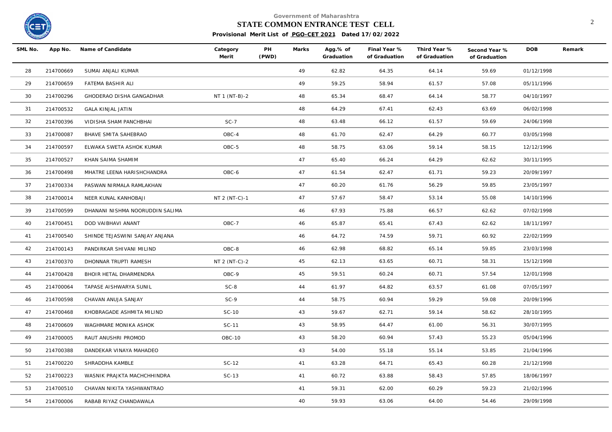

**Government of Maharashtra**

## **STATE COMMON ENTRANCE TEST CELL** 2

**Provisional Merit List of PGO-CET 2021 Dated 17/02/2022**

| SML No. | App No.   | Name of Candidate               | Category<br>Merit | PH<br>(PWD) | Marks | Agg.% of<br>Graduation | Final Year %<br>of Graduation | Third Year %<br>of Graduation | Second Year %<br>of Graduation | <b>DOB</b> | Remark |
|---------|-----------|---------------------------------|-------------------|-------------|-------|------------------------|-------------------------------|-------------------------------|--------------------------------|------------|--------|
| 28      | 214700669 | SUMAI ANJALI KUMAR              |                   |             | 49    | 62.82                  | 64.35                         | 64.14                         | 59.69                          | 01/12/1998 |        |
| 29      | 214700659 | FATEMA BASHIR ALI               |                   |             | 49    | 59.25                  | 58.94                         | 61.57                         | 57.08                          | 05/11/1996 |        |
| 30      | 214700296 | GHODERAO DISHA GANGADHAR        | NT 1 (NT-B)-2     |             | 48    | 65.34                  | 68.47                         | 64.14                         | 58.77                          | 04/10/1997 |        |
| 31      | 214700532 | <b>GALA KINJAL JATIN</b>        |                   |             | 48    | 64.29                  | 67.41                         | 62.43                         | 63.69                          | 06/02/1998 |        |
| 32      | 214700396 | VIDISHA SHAM PANCHBHAI          | $SC-7$            |             | 48    | 63.48                  | 66.12                         | 61.57                         | 59.69                          | 24/06/1998 |        |
| 33      | 214700087 | BHAVE SMITA SAHEBRAO            | OBC-4             |             | 48    | 61.70                  | 62.47                         | 64.29                         | 60.77                          | 03/05/1998 |        |
| 34      | 214700597 | ELWAKA SWETA ASHOK KUMAR        | OBC-5             |             | 48    | 58.75                  | 63.06                         | 59.14                         | 58.15                          | 12/12/1996 |        |
| 35      | 214700527 | KHAN SAIMA SHAMIM               |                   |             | 47    | 65.40                  | 66.24                         | 64.29                         | 62.62                          | 30/11/1995 |        |
| 36      | 214700498 | MHATRE LEENA HARISHCHANDRA      | OBC-6             |             | 47    | 61.54                  | 62.47                         | 61.71                         | 59.23                          | 20/09/1997 |        |
| 37      | 214700334 | PASWAN NIRMALA RAMLAKHAN        |                   |             | 47    | 60.20                  | 61.76                         | 56.29                         | 59.85                          | 23/05/1997 |        |
| 38      | 214700014 | NEER KUNAL KANHOBAJI            | NT 2 (NT-C)-1     |             | 47    | 57.67                  | 58.47                         | 53.14                         | 55.08                          | 14/10/1996 |        |
| 39      | 214700599 | DHANANI NISHMA NOORUDDIN SALIMA |                   |             | 46    | 67.93                  | 75.88                         | 66.57                         | 62.62                          | 07/02/1998 |        |
| 40      | 214700451 | DOD VAIBHAVI ANANT              | OBC-7             |             | 46    | 65.87                  | 65.41                         | 67.43                         | 62.62                          | 18/11/1997 |        |
| 41      | 214700540 | SHINDE TEJASWINI SANJAY ANJANA  |                   |             | 46    | 64.72                  | 74.59                         | 59.71                         | 60.92                          | 22/02/1999 |        |
| 42      | 214700143 | PANDIRKAR SHIVANI MILIND        | OBC-8             |             | 46    | 62.98                  | 68.82                         | 65.14                         | 59.85                          | 23/03/1998 |        |
| 43      | 214700370 | DHONNAR TRUPTI RAMESH           | NT 2 (NT-C)-2     |             | 45    | 62.13                  | 63.65                         | 60.71                         | 58.31                          | 15/12/1998 |        |
| 44      | 214700428 | BHOIR HETAL DHARMENDRA          | OBC-9             |             | 45    | 59.51                  | 60.24                         | 60.71                         | 57.54                          | 12/01/1998 |        |
| 45      | 214700064 | TAPASE AISHWARYA SUNIL          | $SC-8$            |             | 44    | 61.97                  | 64.82                         | 63.57                         | 61.08                          | 07/05/1997 |        |
| 46      | 214700598 | CHAVAN ANUJA SANJAY             | $SC-9$            |             | 44    | 58.75                  | 60.94                         | 59.29                         | 59.08                          | 20/09/1996 |        |
| 47      | 214700468 | KHOBRAGADE ASHMITA MILIND       | SC-10             |             | 43    | 59.67                  | 62.71                         | 59.14                         | 58.62                          | 28/10/1995 |        |
| 48      | 214700609 | WAGHMARE MONIKA ASHOK           | SC-11             |             | 43    | 58.95                  | 64.47                         | 61.00                         | 56.31                          | 30/07/1995 |        |
| 49      | 214700005 | RAUT ANUSHRI PROMOD             | OBC-10            |             | 43    | 58.20                  | 60.94                         | 57.43                         | 55.23                          | 05/04/1996 |        |
| 50      | 214700388 | DANDEKAR VINAYA MAHADEO         |                   |             | 43    | 54.00                  | 55.18                         | 55.14                         | 53.85                          | 21/04/1996 |        |
| 51      | 214700220 | SHRADDHA KAMBLE                 | SC-12             |             | 41    | 63.28                  | 64.71                         | 65.43                         | 60.28                          | 21/12/1998 |        |
| 52      | 214700223 | WASNIK PRAJKTA MACHCHHINDRA     | $SC-13$           |             | 41    | 60.72                  | 63.88                         | 58.43                         | 57.85                          | 18/06/1997 |        |
| 53      | 214700510 | CHAVAN NIKITA YASHWANTRAO       |                   |             | 41    | 59.31                  | 62.00                         | 60.29                         | 59.23                          | 21/02/1996 |        |
| 54      | 214700006 | RABAB RIYAZ CHANDAWALA          |                   |             | 40    | 59.93                  | 63.06                         | 64.00                         | 54.46                          | 29/09/1998 |        |
|         |           |                                 |                   |             |       |                        |                               |                               |                                |            |        |